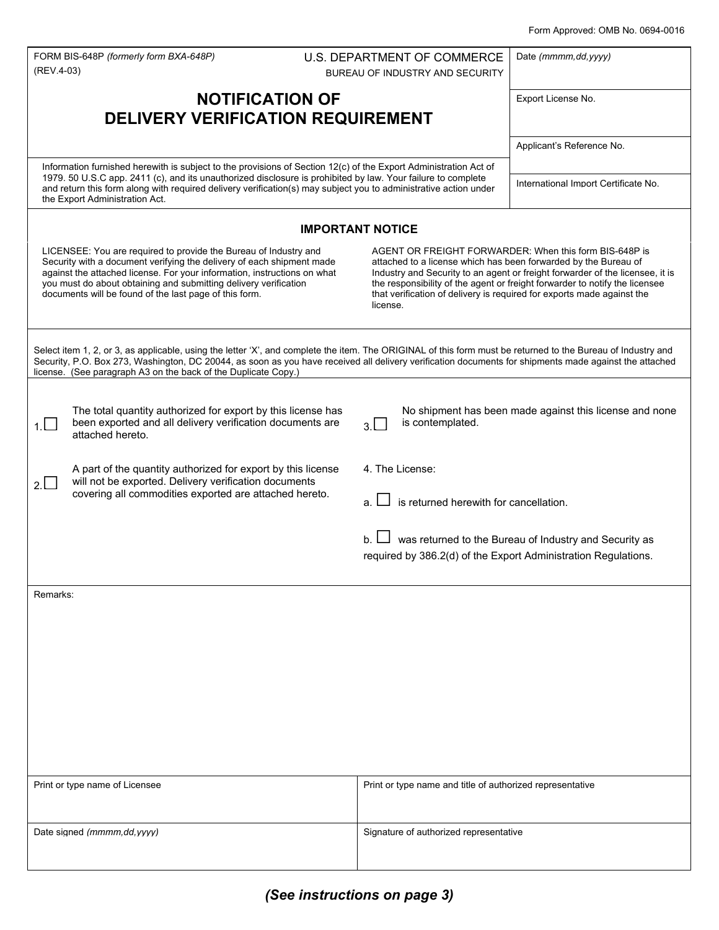| (REV.4-03)                                                                                                                                                                                                                                                                                                                                                                               | FORM BIS-648P (formerly form BXA-648P)                                                                                                                                          |  | U.S. DEPARTMENT OF COMMERCE<br>BUREAU OF INDUSTRY AND SECURITY                                                                                                                                                                                                                                                                                                                  | Date (mmmm, dd, yyyy)                                   |  |
|------------------------------------------------------------------------------------------------------------------------------------------------------------------------------------------------------------------------------------------------------------------------------------------------------------------------------------------------------------------------------------------|---------------------------------------------------------------------------------------------------------------------------------------------------------------------------------|--|---------------------------------------------------------------------------------------------------------------------------------------------------------------------------------------------------------------------------------------------------------------------------------------------------------------------------------------------------------------------------------|---------------------------------------------------------|--|
| <b>NOTIFICATION OF</b>                                                                                                                                                                                                                                                                                                                                                                   |                                                                                                                                                                                 |  |                                                                                                                                                                                                                                                                                                                                                                                 | Export License No.                                      |  |
| <b>DELIVERY VERIFICATION REQUIREMENT</b>                                                                                                                                                                                                                                                                                                                                                 |                                                                                                                                                                                 |  |                                                                                                                                                                                                                                                                                                                                                                                 |                                                         |  |
|                                                                                                                                                                                                                                                                                                                                                                                          |                                                                                                                                                                                 |  |                                                                                                                                                                                                                                                                                                                                                                                 | Applicant's Reference No.                               |  |
| Information furnished herewith is subject to the provisions of Section 12(c) of the Export Administration Act of<br>1979. 50 U.S.C app. 2411 (c), and its unauthorized disclosure is prohibited by law. Your failure to complete<br>and return this form along with required delivery verification(s) may subject you to administrative action under<br>the Export Administration Act.   |                                                                                                                                                                                 |  |                                                                                                                                                                                                                                                                                                                                                                                 | International Import Certificate No.                    |  |
| <b>IMPORTANT NOTICE</b>                                                                                                                                                                                                                                                                                                                                                                  |                                                                                                                                                                                 |  |                                                                                                                                                                                                                                                                                                                                                                                 |                                                         |  |
| LICENSEE: You are required to provide the Bureau of Industry and<br>Security with a document verifying the delivery of each shipment made<br>against the attached license. For your information, instructions on what<br>you must do about obtaining and submitting delivery verification<br>documents will be found of the last page of this form.                                      |                                                                                                                                                                                 |  | AGENT OR FREIGHT FORWARDER: When this form BIS-648P is<br>attached to a license which has been forwarded by the Bureau of<br>Industry and Security to an agent or freight forwarder of the licensee, it is<br>the responsibility of the agent or freight forwarder to notify the licensee<br>that verification of delivery is required for exports made against the<br>license. |                                                         |  |
| Select item 1, 2, or 3, as applicable, using the letter 'X', and complete the item. The ORIGINAL of this form must be returned to the Bureau of Industry and<br>Security, P.O. Box 273, Washington, DC 20044, as soon as you have received all delivery verification documents for shipments made against the attached<br>license. (See paragraph A3 on the back of the Duplicate Copy.) |                                                                                                                                                                                 |  |                                                                                                                                                                                                                                                                                                                                                                                 |                                                         |  |
| 1.                                                                                                                                                                                                                                                                                                                                                                                       | The total quantity authorized for export by this license has<br>been exported and all delivery verification documents are<br>attached hereto.                                   |  | is contemplated.<br>3.                                                                                                                                                                                                                                                                                                                                                          | No shipment has been made against this license and none |  |
| 2.                                                                                                                                                                                                                                                                                                                                                                                       | A part of the quantity authorized for export by this license<br>will not be exported. Delivery verification documents<br>covering all commodities exported are attached hereto. |  | 4. The License:<br>is returned herewith for cancellation.                                                                                                                                                                                                                                                                                                                       |                                                         |  |
|                                                                                                                                                                                                                                                                                                                                                                                          |                                                                                                                                                                                 |  | required by 386.2(d) of the Export Administration Regulations.                                                                                                                                                                                                                                                                                                                  | was returned to the Bureau of Industry and Security as  |  |
| Remarks:                                                                                                                                                                                                                                                                                                                                                                                 |                                                                                                                                                                                 |  |                                                                                                                                                                                                                                                                                                                                                                                 |                                                         |  |
|                                                                                                                                                                                                                                                                                                                                                                                          |                                                                                                                                                                                 |  |                                                                                                                                                                                                                                                                                                                                                                                 |                                                         |  |
|                                                                                                                                                                                                                                                                                                                                                                                          |                                                                                                                                                                                 |  |                                                                                                                                                                                                                                                                                                                                                                                 |                                                         |  |
|                                                                                                                                                                                                                                                                                                                                                                                          |                                                                                                                                                                                 |  |                                                                                                                                                                                                                                                                                                                                                                                 |                                                         |  |
|                                                                                                                                                                                                                                                                                                                                                                                          |                                                                                                                                                                                 |  |                                                                                                                                                                                                                                                                                                                                                                                 |                                                         |  |
|                                                                                                                                                                                                                                                                                                                                                                                          |                                                                                                                                                                                 |  |                                                                                                                                                                                                                                                                                                                                                                                 |                                                         |  |
|                                                                                                                                                                                                                                                                                                                                                                                          |                                                                                                                                                                                 |  |                                                                                                                                                                                                                                                                                                                                                                                 |                                                         |  |
|                                                                                                                                                                                                                                                                                                                                                                                          | Print or type name of Licensee                                                                                                                                                  |  | Print or type name and title of authorized representative                                                                                                                                                                                                                                                                                                                       |                                                         |  |
|                                                                                                                                                                                                                                                                                                                                                                                          | Date signed (mmmm, dd, yyyy)                                                                                                                                                    |  | Signature of authorized representative                                                                                                                                                                                                                                                                                                                                          |                                                         |  |
|                                                                                                                                                                                                                                                                                                                                                                                          |                                                                                                                                                                                 |  |                                                                                                                                                                                                                                                                                                                                                                                 |                                                         |  |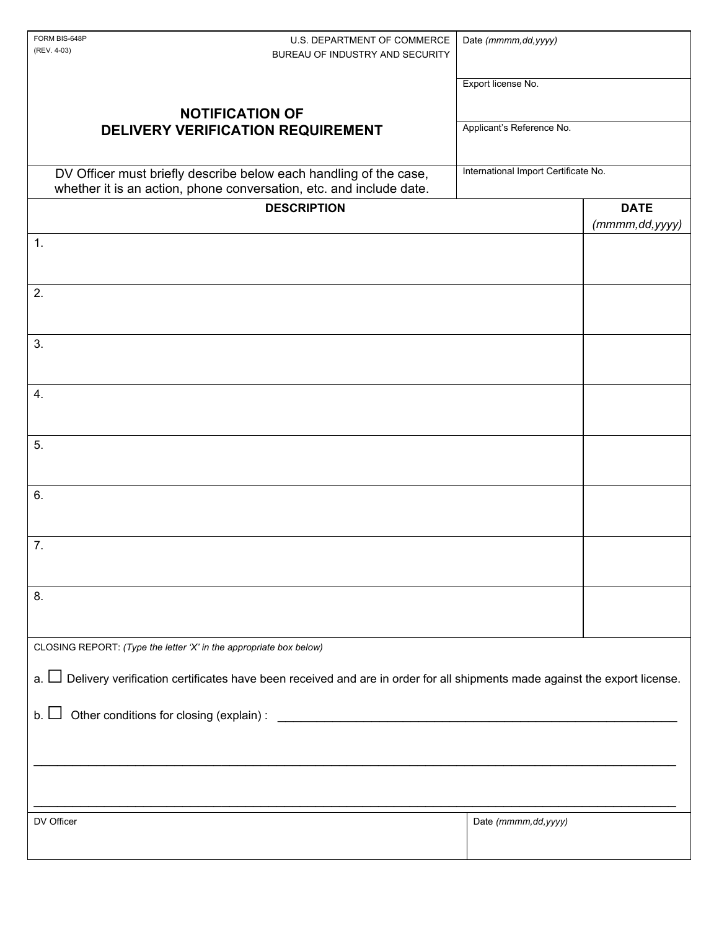| FORM BIS-648P<br>U.S. DEPARTMENT OF COMMERCE<br>(REV. 4-03)<br>BUREAU OF INDUSTRY AND SECURITY                                           | Date (mmmm, dd, yyyy)                |  |  |  |  |
|------------------------------------------------------------------------------------------------------------------------------------------|--------------------------------------|--|--|--|--|
|                                                                                                                                          | Export license No.                   |  |  |  |  |
| <b>NOTIFICATION OF</b>                                                                                                                   |                                      |  |  |  |  |
| DELIVERY VERIFICATION REQUIREMENT                                                                                                        | Applicant's Reference No.            |  |  |  |  |
| DV Officer must briefly describe below each handling of the case,<br>whether it is an action, phone conversation, etc. and include date. | International Import Certificate No. |  |  |  |  |
| <b>DESCRIPTION</b>                                                                                                                       | <b>DATE</b><br>(mmmm, dd, yyyy)      |  |  |  |  |
| 1.                                                                                                                                       |                                      |  |  |  |  |
|                                                                                                                                          |                                      |  |  |  |  |
| 2.                                                                                                                                       |                                      |  |  |  |  |
| 3.                                                                                                                                       |                                      |  |  |  |  |
|                                                                                                                                          |                                      |  |  |  |  |
| 4.                                                                                                                                       |                                      |  |  |  |  |
| 5.                                                                                                                                       |                                      |  |  |  |  |
|                                                                                                                                          |                                      |  |  |  |  |
| 6.                                                                                                                                       |                                      |  |  |  |  |
| 7.                                                                                                                                       |                                      |  |  |  |  |
|                                                                                                                                          |                                      |  |  |  |  |
| 8.                                                                                                                                       |                                      |  |  |  |  |
|                                                                                                                                          |                                      |  |  |  |  |
| CLOSING REPORT: (Type the letter 'X' in the appropriate box below)                                                                       |                                      |  |  |  |  |
| $\Box$ Delivery verification certificates have been received and are in order for all shipments made against the export license.<br>a. I |                                      |  |  |  |  |
| b.                                                                                                                                       |                                      |  |  |  |  |
|                                                                                                                                          |                                      |  |  |  |  |
|                                                                                                                                          |                                      |  |  |  |  |
| DV Officer                                                                                                                               | Date (mmmm, dd, yyyy)                |  |  |  |  |
|                                                                                                                                          |                                      |  |  |  |  |